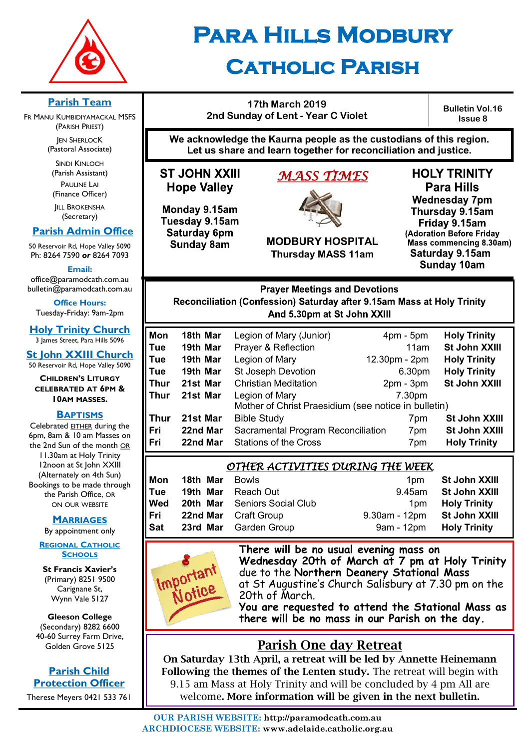

# **Para Hills Modbury Catholic Parish**

# **Parish Team**

FR MANU KUMBIDIYAMACKAL MSFS (PARISH PRIEST) **JEN SHERLOCK** 

(Pastoral Associate)

SINDI KINLOCH (Parish Assistant) PAULINE LAI (Finance Officer)

**IILL BROKENSHA** (Secretary)

# **Parish Admin Office**

50 Reservoir Rd, Hope Valley 5090 Ph: 8264 7590 *or* 8264 7093

**Email:** 

office@paramodcath.com.au bulletin@paramodcath.com.au

**Office Hours:**  Tuesday-Friday: 9am-2pm

**Holy Trinity Church** 3 James Street, Para Hills 5096

**St John XXIII Church** 50 Reservoir Rd, Hope Valley 5090

**CHILDREN'S LITURGY CELEBRATED AT 6PM & 10AM MASSES.**

## **BAPTISMS**

Celebrated EITHER during the 6pm, 8am & 10 am Masses on the 2nd Sun of the month OR 11.30am at Holy Trinity 12noon at St John XXIII (Alternately on 4th Sun) Bookings to be made through the Parish Office, OR ON OUR WEBSITE

#### **MARRIAGES**

By appointment only

#### **REGIONAL CATHOLIC SCHOOLS**

**St Francis Xavier's**  (Primary) 8251 9500 Carignane St, Wynn Vale 5127

**Gleeson College**  (Secondary) 8282 6600

40-60 Surrey Farm Drive, Golden Grove 5125

**Parish Child Protection Officer** Therese Meyers 0421 533 761

# **17th March 2019 2nd Sunday of Lent - Year C Violet**

**Bulletin Vol.16 Issue 8**

**We acknowledge the Kaurna people as the custodians of this region. Let us share and learn together for reconciliation and justice.**

**ST JOHN XXIII Hope Valley** 

Monday 9.15am Tuesday 9.15am Saturday 6pm **Sunday 8am** 

# *MASS TIMES*



**MODBURY HOSPITAL Thursday MASS 11am**

**HOLY TRINITY Para Hills Wednesday 7pm** Thursday 9.15am Friday 9.15am (Adoration Before Friday Mass commencing 8.30am) Saturday 9.15am **Sunday 10am** 

**Prayer Meetings and Devotions** Reconciliation (Confession) Saturday after 9.15am Mass at Holy Trinity And 5.30pm at St John XXIII

| Mon  | 18th Mar | Legion of Mary (Junior)                              | $4pm - 5pm$   | <b>Holy Trinity</b> |
|------|----------|------------------------------------------------------|---------------|---------------------|
| Tue  | 19th Mar | Prayer & Reflection                                  | 11am          | St John XXIII       |
| Tue  | 19th Mar | Legion of Mary                                       | 12.30pm - 2pm | <b>Holy Trinity</b> |
| Tue  | 19th Mar | St Joseph Devotion                                   | 6.30pm        | <b>Holy Trinity</b> |
| Thur | 21st Mar | <b>Christian Meditation</b>                          | $2pm - 3pm$   | St John XXIII       |
| Thur | 21st Mar | Legion of Mary                                       | 7.30pm        |                     |
|      |          | Mother of Christ Praesidium (see notice in bulletin) |               |                     |
| Thur | 21st Mar | <b>Bible Study</b>                                   | 7pm           | St John XXIII       |
| Fri  | 22nd Mar | Sacramental Program Reconciliation                   | 7pm           | St John XXIII       |
| Fri  | 22nd Mar | <b>Stations of the Cross</b>                         | 7pm           | <b>Holy Trinity</b> |

# *OTHER ACTIVITIES DURING THE WEEK*

| Mon | 18th Mar | Bowls                        | 1 <sub>pm</sub>  | St John XXIII        |
|-----|----------|------------------------------|------------------|----------------------|
| Tue |          | <b>19th Mar</b> Reach Out    | 9.45am           | <b>St John XXIII</b> |
| Wed |          | 20th Mar Seniors Social Club | 1pm              | <b>Holy Trinity</b>  |
| Fri |          | <b>22nd Mar</b> Craft Group  | $9.30$ am - 12pm | St John XXIII        |
| Sat |          | 23rd Mar Garden Group        | 9am - 12pm       | <b>Holy Trinity</b>  |



**There will be no usual evening mass on Wednesday 20th of March at 7 pm at Holy Trinity** due to the **Northern Deanery Stational Mass**  at St Augustine's Church Salisbury at 7.30 pm on the 20th of March.

**You are requested to attend the Stational Mass as there will be no mass in our Parish on the day.**

# Parish One day Retreat

On Saturday 13th April, a retreat will be led by Annette Heinemann Following the themes of the Lenten study. The retreat will begin with 9.15 am Mass at Holy Trinity and will be concluded by 4 pm All are welcome. More information will be given in the next bulletin.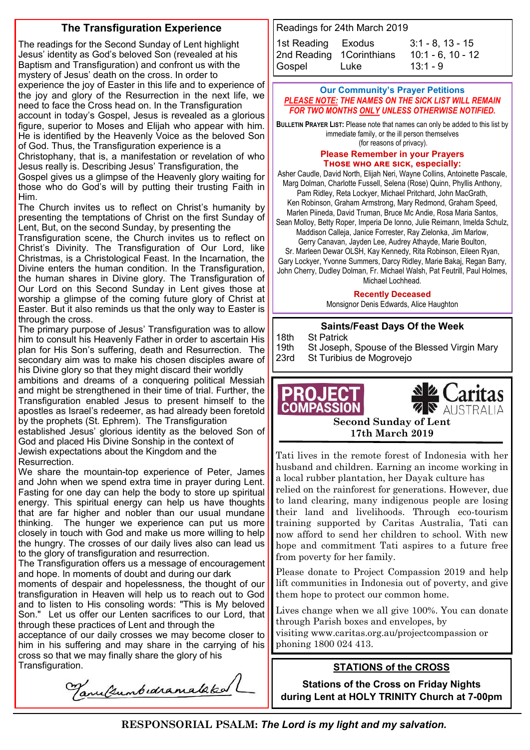# **The Transfiguration Experience**

The readings for the Second Sunday of Lent highlight Jesus' identity as God's beloved Son (revealed at his Baptism and Transfiguration) and confront us with the mystery of Jesus' death on the cross. In order to experience the joy of Easter in this life and to experience of the joy and glory of the Resurrection in the next life, we need to face the Cross head on. In the Transfiguration account in today's Gospel, Jesus is revealed as a glorious figure, superior to Moses and Elijah who appear with him. He is identified by the Heavenly Voice as the beloved Son of God. Thus, the Transfiguration experience is a Christophany, that is, a manifestation or revelation of who

Jesus really is. Describing Jesus' Transfiguration, the Gospel gives us a glimpse of the Heavenly glory waiting for those who do God's will by putting their trusting Faith in Him.

The Church invites us to reflect on Christ's humanity by presenting the temptations of Christ on the first Sunday of Lent, But, on the second Sunday, by presenting the

Transfiguration scene, the Church invites us to reflect on Christ's Divinity. The Transfiguration of Our Lord, like Christmas, is a Christological Feast. In the Incarnation, the Divine enters the human condition. In the Transfiguration, the human shares in Divine glory. The Transfiguration of Our Lord on this Second Sunday in Lent gives those at worship a glimpse of the coming future glory of Christ at Easter. But it also reminds us that the only way to Easter is through the cross.

The primary purpose of Jesus' Transfiguration was to allow him to consult his Heavenly Father in order to ascertain His plan for His Son's suffering, death and Resurrection. The secondary aim was to make his chosen disciples aware of his Divine glory so that they might discard their worldly

ambitions and dreams of a conquering political Messiah and might be strengthened in their time of trial. Further, the Transfiguration enabled Jesus to present himself to the apostles as Israel's redeemer, as had already been foretold by the prophets (St. Ephrem). The Transfiguration

established Jesus' glorious identity as the beloved Son of God and placed His Divine Sonship in the context of Jewish expectations about the Kingdom and the Resurrection.

We share the mountain-top experience of Peter, James and John when we spend extra time in prayer during Lent. Fasting for one day can help the body to store up spiritual energy. This spiritual energy can help us have thoughts that are far higher and nobler than our usual mundane thinking. The hunger we experience can put us more closely in touch with God and make us more willing to help the hungry. The crosses of our daily lives also can lead us to the glory of transfiguration and resurrection.

The Transfiguration offers us a message of encouragement and hope. In moments of doubt and during our dark

moments of despair and hopelessness, the thought of our transfiguration in Heaven will help us to reach out to God and to listen to His consoling words: "This is My beloved Son." Let us offer our Lenten sacrifices to our Lord, that through these practices of Lent and through the

acceptance of our daily crosses we may become closer to him in his suffering and may share in the carrying of his cross so that we may finally share the glory of his Transfiguration. **STATIONS of the CROSS** 

Tanultumbedramataked

Readings for 24th March 2019

| 1st Reading Exodus        |      | $3:1 - 8, 13 - 15$  |
|---------------------------|------|---------------------|
| 2nd Reading 1 Corinthians |      | $10:1 - 6, 10 - 12$ |
| Gospel                    | Luke | $13:1 - 9$          |

#### **Our Community's Prayer Petitions**  *PLEASE NOTE: THE NAMES ON THE SICK LIST WILL REMAIN FOR TWO MONTHS ONLY UNLESS OTHERWISE NOTIFIED.*

**BULLETIN PRAYER LIST:** Please note that names can only be added to this list by immediate family, or the ill person themselves (for reasons of privacy).

#### **Please Remember in your Prayers Those who are sick, especially:**

Asher Caudle, David North, Elijah Neri, Wayne Collins, Antoinette Pascale, Marg Dolman, Charlotte Fussell, Selena (Rose) Quinn, Phyllis Anthony,

Pam Ridley, Reta Lockyer, Michael Pritchard, John MacGrath, Ken Robinson, Graham Armstrong, Mary Redmond, Graham Speed, Marlen Piineda, David Truman, Bruce Mc Andie, Rosa Maria Santos,

Sean Molloy, Betty Roper, Imperia De Ionno, Julie Reimann, Imelda Schulz, Maddison Calleja, Janice Forrester, Ray Zielonka, Jim Marlow,

Gerry Canavan, Jayden Lee, Audrey Athayde, Marie Boulton, Sr. Marleen Dewar OLSH, Kay Kennedy, Rita Robinson, Eileen Ryan, Gary Lockyer, Yvonne Summers, Darcy Ridley, Marie Bakaj, Regan Barry, John Cherry, Dudley Dolman, Fr. Michael Walsh, Pat Feutrill, Paul Holmes, Michael Lochhead.

**Recently Deceased**

Monsignor Denis Edwards, Alice Haughton

#### **Saints/Feast Days Of the Week**

18th St Patrick

19th St Joseph, Spouse of the Blessed Virgin Mary

23rd St Turibius de Mogrovejo



**17th March 2019** 

Tati lives in the remote forest of Indonesia with her husband and children. Earning an income working in a local rubber plantation, her Dayak culture has

relied on the rainforest for generations. However, due to land clearing, many indigenous people are losing their land and livelihoods. Through eco-tourism training supported by Caritas Australia, Tati can now afford to send her children to school. With new hope and commitment Tati aspires to a future free from poverty for her family.

Please donate to Project Compassion 2019 and help lift communities in Indonesia out of poverty, and give them hope to protect our common home.

Lives change when we all give 100%. You can donate through Parish boxes and envelopes, by

visiting www.caritas.org.au/projectcompassion or phoning 1800 024 413.

**Stations of the Cross on Friday Nights during Lent at HOLY TRINITY Church at 7-00pm** 

**RESPONSORIAL PSALM:** *The Lord is my light and my salvation.*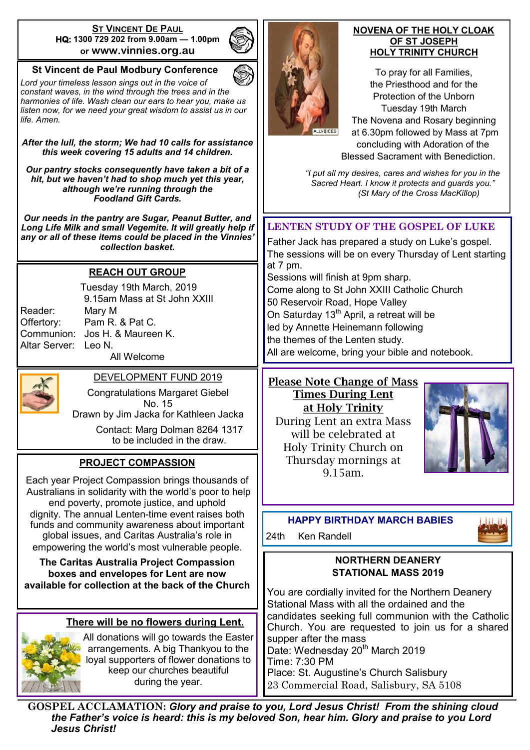#### **ST VINCENT DE PAUL HQ: 1300 729 202 from 9.00am — 1.00pm or www.vinnies.org.au**

# **St Vincent de Paul Modbury Conference**

*Lord your timeless lesson sings out in the voice of constant waves, in the wind through the trees and in the harmonies of life. Wash clean our ears to hear you, make us listen now, for we need your great wisdom to assist us in our life. Amen.*

*After the lull, the storm; We had 10 calls for assistance this week covering 15 adults and 14 children.*

*Our pantry stocks consequently have taken a bit of a hit, but we haven't had to shop much yet this year, although we're running through the Foodland Gift Cards.* 

*Our needs in the pantry are Sugar, Peanut Butter, and Long Life Milk and small Vegemite. It will greatly help if any or all of these items could be placed in the Vinnies' collection basket.* 

## **REACH OUT GROUP**

Reader: Mary M Altar Server: Leo N.

Tuesday 19th March, 2019 9.15am Mass at St John XXIII Offertory: Pam R. & Pat C. Communion: Jos H. & Maureen K. All Welcome



# DEVELOPMENT FUND 2019

Congratulations Margaret Giebel No. 15 Drawn by Jim Jacka for Kathleen Jacka

> Contact: Marg Dolman 8264 1317 to be included in the draw.

# **PROJECT COMPASSION**

Each year Project Compassion brings thousands of Australians in solidarity with the world's poor to help end poverty, promote justice, and uphold dignity. The annual Lenten-time event raises both funds and community awareness about important global issues, and Caritas Australia's role in empowering the world's most vulnerable people.

**The Caritas Australia Project Compassion boxes and envelopes for Lent are now available for collection at the back of the Church**

# **There will be no flowers during Lent.**



All donations will go towards the Easter arrangements. A big Thankyou to the loyal supporters of flower donations to keep our churches beautiful during the year.



#### **NOVENA OF THE HOLY CLOAK OF ST JOSEPH HOLY TRINITY CHURCH**

To pray for all Families, the Priesthood and for the Protection of the Unborn Tuesday 19th March The Novena and Rosary beginning at 6.30pm followed by Mass at 7pm concluding with Adoration of the Blessed Sacrament with Benediction.

*"I put all my desires, cares and wishes for you in the Sacred Heart. I know it protects and guards you." (St Mary of the Cross MacKillop)*

# **LENTEN STUDY OF THE GOSPEL OF LUKE**

Father Jack has prepared a study on Luke's gospel. The sessions will be on every Thursday of Lent starting at 7 pm.

Sessions will finish at 9pm sharp. Come along to St John XXIII Catholic Church 50 Reservoir Road, Hope Valley On Saturday 13<sup>th</sup> April, a retreat will be led by Annette Heinemann following the themes of the Lenten study. All are welcome, bring your bible and notebook.

#### Please Note Change of Mass Times During Lent at Holy Trinity

During Lent an extra Mass will be celebrated at Holy Trinity Church on Thursday mornings at 9.15am.



# **HAPPY BIRTHDAY MARCH BABIES**

24th Ken Randell

#### **NORTHERN DEANERY STATIONAL MASS 2019**

You are cordially invited for the Northern Deanery Stational Mass with all the ordained and the candidates seeking full communion with the Catholic Church. You are requested to join us for a shared supper after the mass Date: Wednesday 20<sup>th</sup> March 2019 Time: 7:30 PM

Place: St. Augustine's Church Salisbury 23 Commercial Road, Salisbury, SA 5108

**GOSPEL ACCLAMATION:** *Glory and praise to you, Lord Jesus Christ! From the shining cloud the Father's voice is heard: this is my beloved Son, hear him. Glory and praise to you Lord Jesus Christ!*